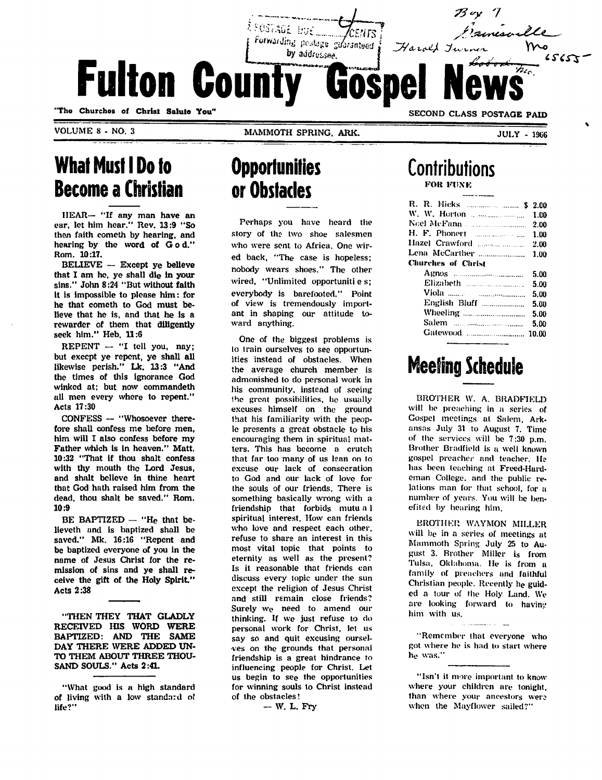Forwarding postage giferanteed Harold Tur by addressee. **Fulton County** "The Churches of Christ Salute You" SECOND CLASS POSTAGE PAID

VOLUME 8 - NO. 3

MAMMOTH SPRING, ARK.

## What Must I Do to Become a Christian

HEAR— "If any man have an car, let him hear." Rev. 13:9 "So them faith cometh by hearing, and hearing by the word of G o d." Rom. 10:17.

BELIEVE — Except ye believe that I am he, ye shall die in your sins." John 8:24 "But without faith it is impossible to please him: for he that cometh to God must be lieve that he is, and that he is a rewarder of them that diligently seek him." Heb. 11:6

REPENT — "I tell you, nay; but except ye repent, ye shall all likewise perish." Lk. 13:3 "And the times of this ignorance God winked at; but now commandeth all men every whore to repent." Acts 17:30

CONFESS — "Whosoever there fore shall confess me before men, him will I also confess before my Father which is in heaven." Matt. 10:32 "That if thou shalt confess with thy mouth the Lord Jesus, and shalt believe in thine heart that God hath raised him from the dead, thou shalt be saved." Rom. 10:9

BE BAPTIZED  $-$  "He that believeth and is baptized shall be saved." Mk. 16:16 "Repent and be baptized everyone of you in the name of Jesus Christ for the re mission of sins and ye shall re ceive the gift of the Holy Spirit." Acts 2:38

"THEN THEY THAT GLADLY RECEIVED HIS WORD WERE BAPTIZED: AND THE SAME DAY THERE WERE ADDED UN TO THEM ABOUT THREE THOU SAND SOULS." Acts 2:41.

## **Opportunities** or Obstacles

Perhaps you have heard the story of the two shoe salesmen who were sent to Africa. One wir ed back, "The case is hopeless; nobody wears shoes." The other wired, "Unlimited opportunities; everybody is barefooted." Point of view is tremendously import ant in shaping our attitude to ward anything.

One of the biggest problems is to train ourselves to see opportun ities instead of obstacles. When the average church member is admonished to do personal work in his community, instead of seeing the great possibilities, he usually excuses himself on the ground that his familiarity with the peop le presents a great obstacle to his encouraging them in spiritual mat ters. This has become a crutch that far too many of us lean on to excuse our lack of consecration to God and our lack of love for the souls of our friends. There is something basically wrong with a friendship that forbids mutu a 1 spiritual interest. How can friends who love and respect each other, refuse to share an interest in this most vital topic that points to eternity as well as the present? Is it reasonable that friends can discuss every topic under the sun except the religion of Jesus Christ and still remain close friends? Surely we need to amend our thinking. If we just refuse to do personal work for Christ, let us say so and quit excusing ourselves on the grounds that personal friendship is a great hindrance to influencing people for Christ. Let us begin to see the opportunities for winning souls to Christ instead of the obstacles!

— W. L. Fry

#### **Contributions** FOK FUNK

| R. R. Hicks   \$ 2.00 |      |
|-----------------------|------|
|                       | 1.00 |
|                       |      |
|                       |      |
|                       |      |
| Lena McCarther  1,00  |      |
| Churches of Christ    |      |
|                       | 5.00 |
|                       | 5.00 |
|                       | 5.00 |
|                       | 5.00 |
|                       | 5.00 |
|                       | 5.00 |
| Gatewood  10.00       |      |
|                       |      |

# Meeting Schedule

BROTHER W. A. BRADFIELD will be preaching in a series of Gospel meetings at Salem, Ark ansas July 31 to August 7. Time of the services will be 7:30 p.m. Brother Brndfield is a well known gospel preacher and teacher. Helias been teaching at Freed-Hardeman College, and the public re lations man for that school, for a number of years. You will be ben efited by hearing him.

BROTHER WAYMON MILLER will be in a series of meetings at Mammoth Spring July 25 to Au gust 3. Brother Miller is from Tulsa, Oklahoma. He is from a family of preachers and faithful Christian people. Recently he guid ed a tour of the Holy Land. We are looking forward to having him with us.

"Remember that everyone who got where he is had to start where he was."

"Isn't it more important to know where your children are tonight, than where your ancestors were when the Mayflower sailed?"

<sup>&</sup>quot;What good is a high standard of living with a low standard of life?"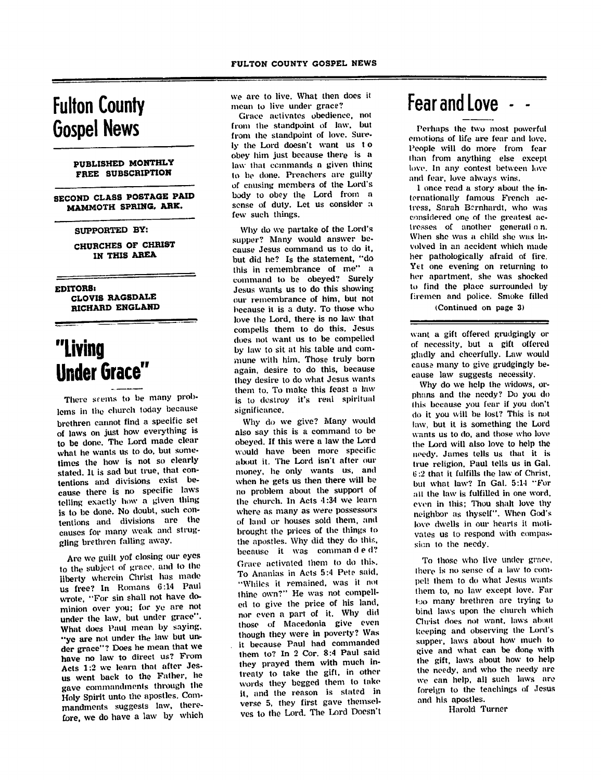### Fulton County Gospel News

#### PUBLISHED MONTHLY FREE SUBSCRIPTION

SECOND CLASS POSTAGE PAID MAMMOTH SPRING. ARK.

#### SUPPORTED BY:

CHURCHES OF CHRIST IN THIS AREA

EDITORS!

CLOVIS RAGSDALE RICHARD ENGLAND

# "Living Under Grace

There seems to be many problems in the church today because brethren cannot find a specific set of laws on just how everything is to be done. The Lord made clear what he wants us to go, but some times the how is not so clearly stated. It is sad but true, that con tentions and divisions exist be cause there is no specific laws telling exactly how a given thing is to be done. No doubt, such con tentions and divisions are the causes for many weak and strug gling brethren falling away.

Are we guilt yof closing our eyes to the subject of grace, and to the<br>liberty wherein Christ has made liberty wherein Christ has made us free? In Romans 6:14 Paul wrote, "For sin shall not have do minion over you; for ye are not under the law, but under grace". What does Paul mean by saying.<br>"ye are not under the law but un-"ye are not under the law but un der grace"? Does he mean that we have no law to direct us? From Acts 1:2 we learn that after Jes us went back to the Father, he gave commandments through the Holy Spirit unto the apostles. Com-Holy Spirit unto the apostles. Com mandments suggests law, there fore, we do have a law by which we are to live. What then does it mean to live under grace?

Grace activates obedience, not from the standpoint of law, but from the standpoint of love. Sure ly the Lord doesn't want us t o obey him just because there is a law that commands a given thing to be done. Preachers are guilty of causing members of the Lord's body to obey the Lord from a sense of duty. Let us consider a few such things.

Why do we partake of the Lord's supper? Many would answer be cause Jesus command us to do it, but did he? Is the statement, "do this in remembrance of me" a command to be obeyed? Surely Jesus wants us to do this showing our remembrance of him, but not because it is a duty. To those who love the Lord, there is no law that compelis them to do this. Jesus does not want us to be compelled<br>by law to sit at his table and comby law to sit at his table and com mune witli him. Those truly born again, desire to do this, because they desire to do what Jesus wants them to. To make this feast a law is to destroy it's real spiritual significance.

Why do we give? Many would also say this is a command to be obeyed. If this were a law the Lord would have been more specific about it. The Lord isn't after our money, he only wants us, and when he gets us then there will be no problem about the support of the church. In Acts 4:34 we learn where as many as were possessors of land or houses sold them, and brought the prices of the things to the apostles. Why did they do this, because it was commanded? Grace activated them to do this. To Ananias in Acts 5:4 Pete said, "Whiles it remained, was it not thine own?" He was not compell ed to give the price of his land, nor even a part of it. Why did those of Macedonia give even<br>though they were in poverty? Was though they were in poverty? Was it because Paul had commanded them to? In 2 Cor. 8:4 Paul said they prayed them with much intreaty to take the gift, in other words they begged them to lake it, and the reason is stated in verse 5, they first gave themsel ves to the Lord. The Lord Doesn't

## Fear and Love

Perhaps the two most powerful emotions of life are fear and love. People will do more from fear Ihan from anything else except love. In any contest between love and fear, love always wins.

1 once read a story about the in ternationally famous French ac tress, Sarah Bernhardt, who was considered one of the greatest ac tresses of another generali o n. When she was a child she was in volved in an accident which made her pathologically afraid of fire. Yet one evening on returning to her apartment, she was shocked to find the place surrounded by firemen and police. Smoke filled (Continued on page 3)

want a gift offered grudgingly or of necessity, but a gift offered gladly and cheerfully. Law would cause many to give grudgingly be cause law suggests necessity.

Why do we help the widows, or phans and the needy? Do you do this because you fear if you don't do it you will be lost? This is not law, but it is something the Lord wants us to do, and those who love the Lord will also love to help the needy. James tells us that it is true religion. Paul tells us in Gal. IS :2 that it fulfills the law of Christ, but what law? In Gal. 5:14 "For all the law is fulfilled in one word, even in this; Thou shalt love thy neighbor as thyself". When God's love dwells in our hearts it moti vates us to respond with compas sion to the needy.

To those who live under grace, there is no sense of a law to compel! them to do what Jesus wants them to, no law except love. Far I jo many brethren are trying to bind laws upon the church which Christ does not want, laws about keeping and observing the Lord's supper, laws about how much to give and what can be done with the gift, laws about how to help the needy, and who the needy are wo can help, all such laws are foreign to the teachings of Jesus and his apostles.

Harold Turner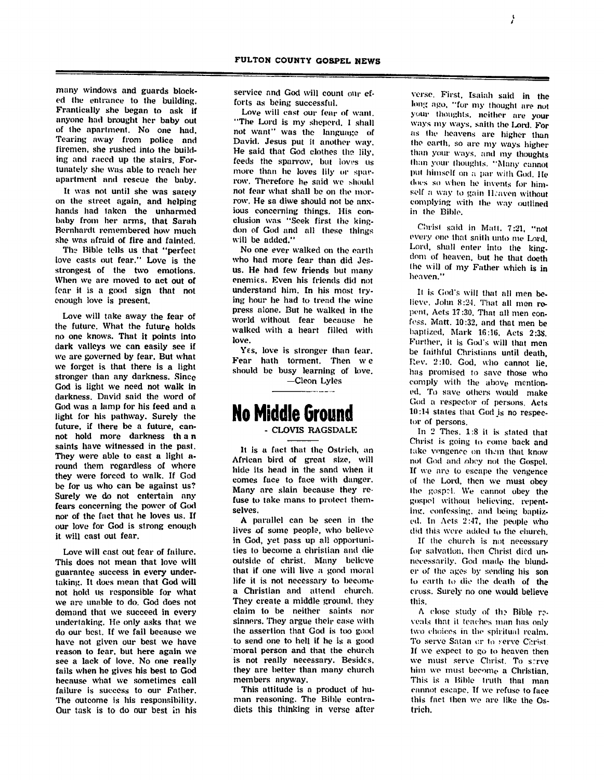many windows and guards block ed the entrance to the building. Frantically she began to ask if anyone had brought her baby out of the apartment. No one had. Tearing away from police and firemen, she rushed into the build ing and raced up the stairs. For tunately she was able to reach her apartment and rescue the baby.

It was not until she was satety on the street again, and helping hands had taken the unharmed baby from her arms, that Sarah Bernhardt remembered how much she was afraid of fire and fainted.

The Bible tells us that "perfect love casts out fear." Love is the strongest of the two emotions. When we are moved to act out of fear it is a good sign that not enough love is present.

Love will take away the fear of the future. What the future holds no one knows. That it points into dark valleys we can easily see if we are governed by fear. But what we forget is that there is a light stronger than any darkness. Since God is light we need not walk in darkness. David said the word of God was a lamp for his feed and a light for his pathway. Surely the future, if there be a future, can not hold more darkness th a n saints have witnessed in the past. They were able to cast a light around them regardless of where they were forced to walk. If God be for us who can be against us? Surely we do not entertain any fears concerning the power of God nor of the fact that he loves us. If our love for God is strong enough it will cast out fear.

Love will cast out fear of failure. This does not mean that love will guarantee success in every under taking. It does mean that God will not hold us responsible for what we are unable to do. God does not demand that we succeed in every undertaking. He only asks that we do our best. If we fail because we have not given our best we have reason to fear, but here again we see a lack of love. No one really fails when he gives his best to God because what we sometimes call failure is success to our Father. The outcome is his responsibility. Our task is to do our best in his

service and God will count onr ef forts as being successful.

Love will cast our fear of want. "The Lord is my sheperd. I shall not want" was the language of David. Jesus put it another way. He said that God clothes tho lily, feeds the sparrow, but loves us more than he loves lily or spar row. Therefore he said we should not fear what shall be on the mor row. He sa diwe should not be anx ious concerning things. His con clusion was "Seek first the kingdon of God and all these things will be added."

No one ever walked on the earth who had more fear than did Jes us. He had few friends but many enemies. Even his friends did not understand him. In his most try ing hour lie had to tread the wine press alone. But he walked in the world without fear because he walked with a heart filled with love.

Yes, love is stronger than fear. Fear hath torment. Then w e should be busy learning of love.

—Cleon Lyles

#### No Middle Ground CLOVTS RAGSDALE

It is a fact that the Ostrich, an African bird of great size, will hide its head in the sand when it comes face to face with danger. Many are slain because they re fuse to take mans to protect them selves.

A parallel can be seen in the lives of some people, who believe in God, yet pass up all opportuni ties to become a christian and die outside of christ. Many believe that if one will live a good moral life it is not necessary to become a Christian and attend church. They create a middle ground, they claim to be neither saints nor sinners. They argue their case with the assertion that God is too good to send one to hell if he is a good moral person and that the church is not really necessary. Besides, they are better than many church members anyway.

This attitude is a product of hu man reasoning. The Bible contra dicts this thinking in verse after

verse. First. Isaiah said in the long ago. "for my thought are not your thoughts, neither are your ways my ways, saith tho Lord. For as Ihe heavens are higher than (he earth, so are my ways higher than your ways, and my thoughts than your thoughts. "Many cannot put himself on a par with God. He docs so when he invents for him self a way to gain Heaven without complying with the way outlined in the Bible.

Christ said in Matt. 7:21, "not every one that sailh unto me Lord. Lord, shall enter into the king dom of heaven, but he that doeth the will of my Father which is in heaven."

It is God's will that all men believe, John 8:24. That all men re pent, Acts 17:30. That all men con fess. Matt. 10:32, and that men be baptized, Mark 16:16, Acts 2:38. Further, it is God's will that men be faithful Christians until death. Rev. 2:10. God, who cannot lie, lias promised to save those who comply with the above mention ed. To save others would make God a respector of persons. Acts 10:14 states that Godjs no respec tor of persons.

In 2 Thes. 1:8 it is stated that Christ is going lo come back and take vengence on them that know not God and obey not the Gospel. If we are to escape the vengence of the Lord, then we must obey Ihe gospel. We cannot obey the gospel without believing, repent ing, confessing, and being baptiz ed. In Acts 2:47, Ihe people who did this were added to the church.

If ihe church is not necessary for salvation, then Christ died unnecessarily. God made Hie blund er of tho ages by sending his son lo earth lo die the death of the cross. Surely no one would believe this.

A close study of th? Bible r? veals that it teaches man has only two choices in the spiritual realm. To serve Satan or to serve Christ. If we expect to go lo heaven then we must serve Christ. To serve him wo must become a Christian. This is a Bible truth that man cannot escape. If we refuse to face this fact then we are like the Os trich.